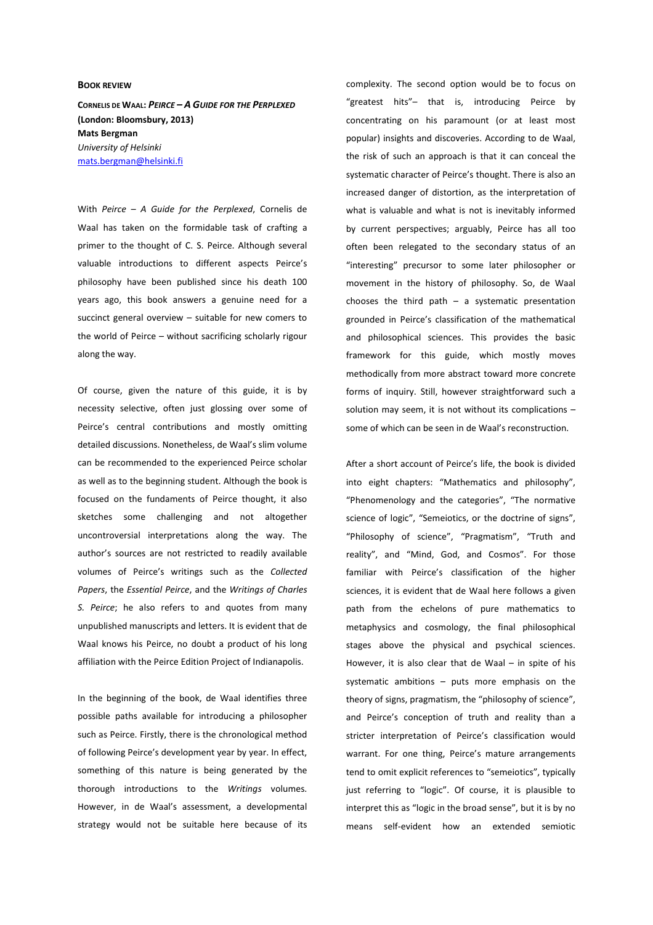## **BOOK REVIEW**

**CORNELIS DE WAAL:** *PEIRCE – A GUIDE FOR THE PERPLEXED*  **(London: Bloomsbury, 2013) Mats Bergman**  *University of Helsinki* mats.bergman@helsinki.fi

With *Peirce – A Guide for the Perplexed*, Cornelis de Waal has taken on the formidable task of crafting a primer to the thought of C. S. Peirce. Although several valuable introductions to different aspects Peirce's philosophy have been published since his death 100 years ago, this book answers a genuine need for a succinct general overview – suitable for new comers to the world of Peirce – without sacrificing scholarly rigour along the way.

Of course, given the nature of this guide, it is by necessity selective, often just glossing over some of Peirce's central contributions and mostly omitting detailed discussions. Nonetheless, de Waal's slim volume can be recommended to the experienced Peirce scholar as well as to the beginning student. Although the book is focused on the fundaments of Peirce thought, it also sketches some challenging and not altogether uncontroversial interpretations along the way. The author's sources are not restricted to readily available volumes of Peirce's writings such as the *Collected Papers*, the *Essential Peirce*, and the *Writings of Charles S. Peirce*; he also refers to and quotes from many unpublished manuscripts and letters. It is evident that de Waal knows his Peirce, no doubt a product of his long affiliation with the Peirce Edition Project of Indianapolis.

In the beginning of the book, de Waal identifies three possible paths available for introducing a philosopher such as Peirce. Firstly, there is the chronological method of following Peirce's development year by year. In effect, something of this nature is being generated by the thorough introductions to the *Writings* volumes. However, in de Waal's assessment, a developmental strategy would not be suitable here because of its complexity. The second option would be to focus on "greatest hits"– that is, introducing Peirce by concentrating on his paramount (or at least most popular) insights and discoveries. According to de Waal, the risk of such an approach is that it can conceal the systematic character of Peirce's thought. There is also an increased danger of distortion, as the interpretation of what is valuable and what is not is inevitably informed by current perspectives; arguably, Peirce has all too often been relegated to the secondary status of an "interesting" precursor to some later philosopher or movement in the history of philosophy. So, de Waal chooses the third path  $-$  a systematic presentation grounded in Peirce's classification of the mathematical and philosophical sciences. This provides the basic framework for this guide, which mostly moves methodically from more abstract toward more concrete forms of inquiry. Still, however straightforward such a solution may seem, it is not without its complications – some of which can be seen in de Waal's reconstruction.

After a short account of Peirce's life, the book is divided into eight chapters: "Mathematics and philosophy", "Phenomenology and the categories", "The normative science of logic", "Semeiotics, or the doctrine of signs", "Philosophy of science", "Pragmatism", "Truth and reality", and "Mind, God, and Cosmos". For those familiar with Peirce's classification of the higher sciences, it is evident that de Waal here follows a given path from the echelons of pure mathematics to metaphysics and cosmology, the final philosophical stages above the physical and psychical sciences. However, it is also clear that de Waal – in spite of his systematic ambitions – puts more emphasis on the theory of signs, pragmatism, the "philosophy of science", and Peirce's conception of truth and reality than a stricter interpretation of Peirce's classification would warrant. For one thing, Peirce's mature arrangements tend to omit explicit references to "semeiotics", typically just referring to "logic". Of course, it is plausible to interpret this as "logic in the broad sense", but it is by no means self-evident how an extended semiotic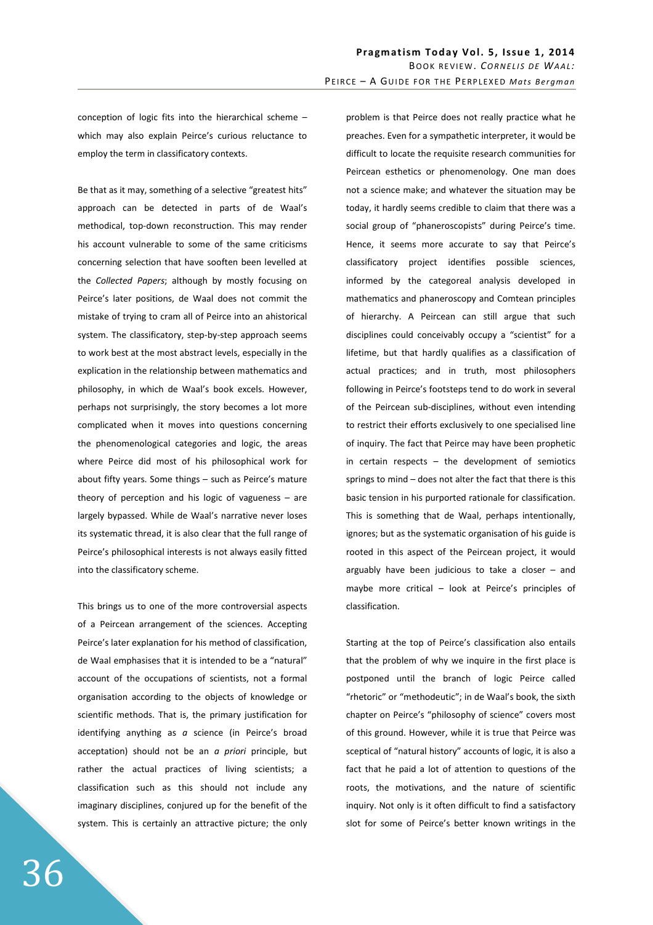conception of logic fits into the hierarchical scheme – which may also explain Peirce's curious reluctance to employ the term in classificatory contexts.

Be that as it may, something of a selective "greatest hits" approach can be detected in parts of de Waal's methodical, top-down reconstruction. This may render his account vulnerable to some of the same criticisms concerning selection that have sooften been levelled at the *Collected Papers*; although by mostly focusing on Peirce's later positions, de Waal does not commit the mistake of trying to cram all of Peirce into an ahistorical system. The classificatory, step-by-step approach seems to work best at the most abstract levels, especially in the explication in the relationship between mathematics and philosophy, in which de Waal's book excels. However, perhaps not surprisingly, the story becomes a lot more complicated when it moves into questions concerning the phenomenological categories and logic, the areas where Peirce did most of his philosophical work for about fifty years. Some things – such as Peirce's mature theory of perception and his logic of vagueness – are largely bypassed. While de Waal's narrative never loses its systematic thread, it is also clear that the full range of Peirce's philosophical interests is not always easily fitted into the classificatory scheme.

This brings us to one of the more controversial aspects of a Peircean arrangement of the sciences. Accepting Peirce's later explanation for his method of classification, de Waal emphasises that it is intended to be a "natural" account of the occupations of scientists, not a formal organisation according to the objects of knowledge or scientific methods. That is, the primary justification for identifying anything as *a* science (in Peirce's broad acceptation) should not be an *a priori* principle, but rather the actual practices of living scientists; a classification such as this should not include any imaginary disciplines, conjured up for the benefit of the system. This is certainly an attractive picture; the only problem is that Peirce does not really practice what he preaches. Even for a sympathetic interpreter, it would be difficult to locate the requisite research communities for Peircean esthetics or phenomenology. One man does not a science make; and whatever the situation may be today, it hardly seems credible to claim that there was a social group of "phaneroscopists" during Peirce's time. Hence, it seems more accurate to say that Peirce's classificatory project identifies possible sciences, informed by the categoreal analysis developed in mathematics and phaneroscopy and Comtean principles of hierarchy. A Peircean can still argue that such disciplines could conceivably occupy a "scientist" for a lifetime, but that hardly qualifies as a classification of actual practices; and in truth, most philosophers following in Peirce's footsteps tend to do work in several of the Peircean sub-disciplines, without even intending to restrict their efforts exclusively to one specialised line of inquiry. The fact that Peirce may have been prophetic in certain respects – the development of semiotics springs to mind – does not alter the fact that there is this basic tension in his purported rationale for classification. This is something that de Waal, perhaps intentionally, ignores; but as the systematic organisation of his guide is rooted in this aspect of the Peircean project, it would arguably have been judicious to take a closer – and maybe more critical – look at Peirce's principles of classification.

Starting at the top of Peirce's classification also entails that the problem of why we inquire in the first place is postponed until the branch of logic Peirce called "rhetoric" or "methodeutic"; in de Waal's book, the sixth chapter on Peirce's "philosophy of science" covers most of this ground. However, while it is true that Peirce was sceptical of "natural history" accounts of logic, it is also a fact that he paid a lot of attention to questions of the roots, the motivations, and the nature of scientific inquiry. Not only is it often difficult to find a satisfactory slot for some of Peirce's better known writings in the

36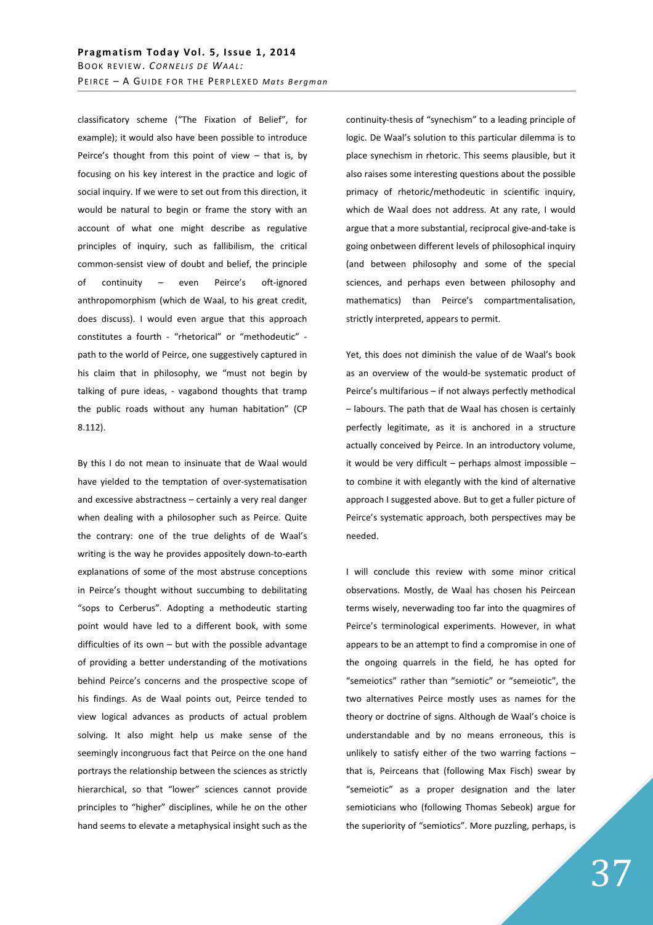classificatory scheme ("The Fixation of Belief", for example); it would also have been possible to introduce Peirce's thought from this point of view – that is, by focusing on his key interest in the practice and logic of social inquiry. If we were to set out from this direction, it would be natural to begin or frame the story with an account of what one might describe as regulative principles of inquiry, such as fallibilism, the critical common-sensist view of doubt and belief, the principle of continuity – even Peirce's oft-ignored anthropomorphism (which de Waal, to his great credit, does discuss). I would even argue that this approach constitutes a fourth - "rhetorical" or "methodeutic" path to the world of Peirce, one suggestively captured in his claim that in philosophy, we "must not begin by talking of pure ideas, - vagabond thoughts that tramp the public roads without any human habitation" (CP 8.112).

By this I do not mean to insinuate that de Waal would have yielded to the temptation of over-systematisation and excessive abstractness – certainly a very real danger when dealing with a philosopher such as Peirce. Quite the contrary: one of the true delights of de Waal's writing is the way he provides appositely down-to-earth explanations of some of the most abstruse conceptions in Peirce's thought without succumbing to debilitating "sops to Cerberus". Adopting a methodeutic starting point would have led to a different book, with some difficulties of its own – but with the possible advantage of providing a better understanding of the motivations behind Peirce's concerns and the prospective scope of his findings. As de Waal points out, Peirce tended to view logical advances as products of actual problem solving. It also might help us make sense of the seemingly incongruous fact that Peirce on the one hand portrays the relationship between the sciences as strictly hierarchical, so that "lower" sciences cannot provide principles to "higher" disciplines, while he on the other hand seems to elevate a metaphysical insight such as the

continuity-thesis of "synechism" to a leading principle of logic. De Waal's solution to this particular dilemma is to place synechism in rhetoric. This seems plausible, but it also raises some interesting questions about the possible primacy of rhetoric/methodeutic in scientific inquiry, which de Waal does not address. At any rate, I would argue that a more substantial, reciprocal give-and-take is going onbetween different levels of philosophical inquiry (and between philosophy and some of the special sciences, and perhaps even between philosophy and mathematics) than Peirce's compartmentalisation, strictly interpreted, appears to permit.

Yet, this does not diminish the value of de Waal's book as an overview of the would-be systematic product of Peirce's multifarious – if not always perfectly methodical – labours. The path that de Waal has chosen is certainly perfectly legitimate, as it is anchored in a structure actually conceived by Peirce. In an introductory volume, it would be very difficult – perhaps almost impossible – to combine it with elegantly with the kind of alternative approach I suggested above. But to get a fuller picture of Peirce's systematic approach, both perspectives may be needed.

I will conclude this review with some minor critical observations. Mostly, de Waal has chosen his Peircean terms wisely, neverwading too far into the quagmires of Peirce's terminological experiments. However, in what appears to be an attempt to find a compromise in one of the ongoing quarrels in the field, he has opted for "semeiotics" rather than "semiotic" or "semeiotic", the two alternatives Peirce mostly uses as names for the theory or doctrine of signs. Although de Waal's choice is understandable and by no means erroneous, this is unlikely to satisfy either of the two warring factions  $$ that is, Peirceans that (following Max Fisch) swear by "semeiotic" as a proper designation and the later semioticians who (following Thomas Sebeok) argue for the superiority of "semiotics". More puzzling, perhaps, is